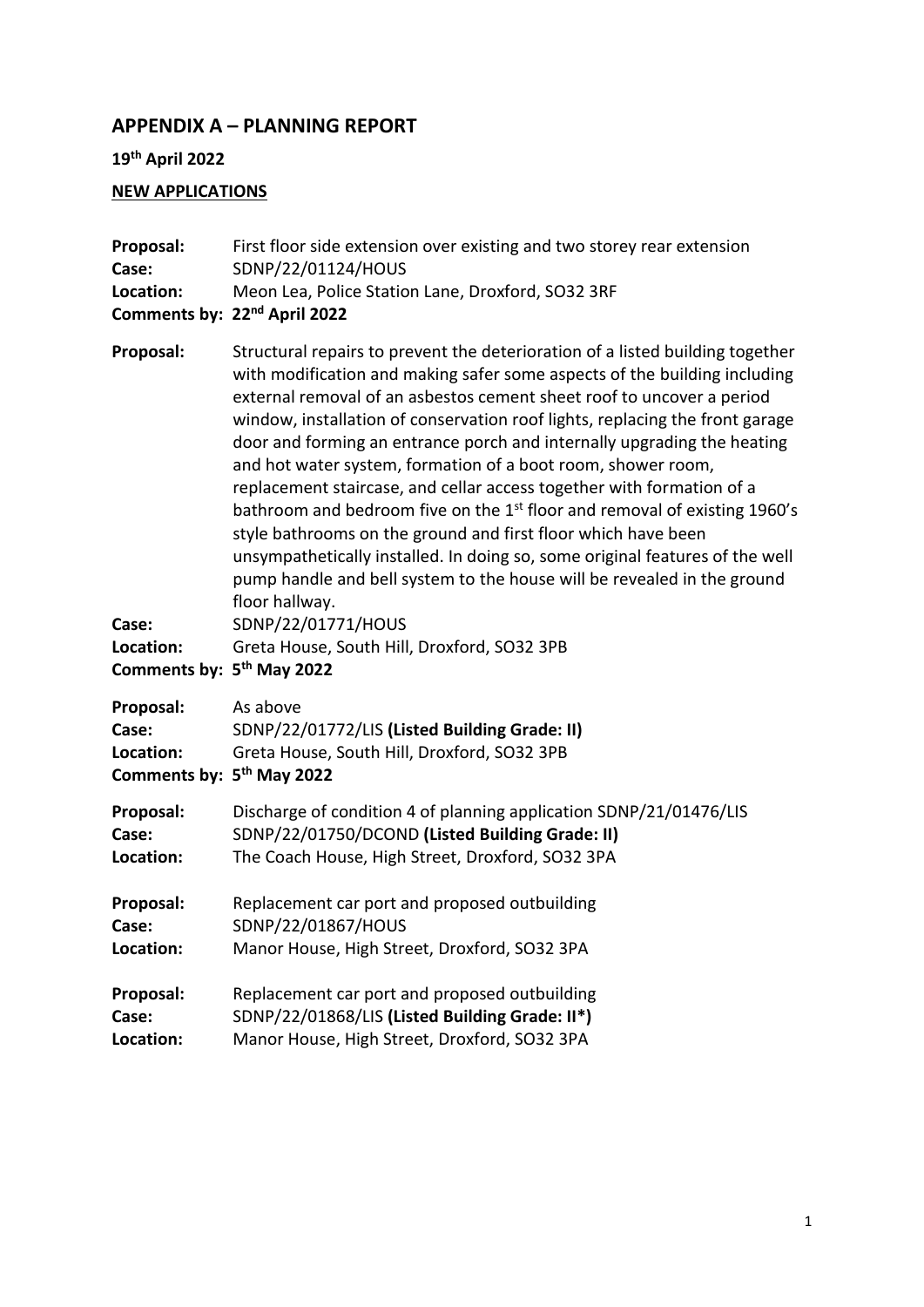## **APPENDIX A – PLANNING REPORT**

## **19th April 2022**

# **NEW APPLICATIONS**

| Proposal:<br>Case:<br>Location:                                          | First floor side extension over existing and two storey rear extension<br>SDNP/22/01124/HOUS<br>Meon Lea, Police Station Lane, Droxford, SO32 3RF<br>Comments by: 22 <sup>nd</sup> April 2022                                                                                                                                                                                                                                                                                                                                                                                                                                                                                                                                                                                                                                                                                                                                                       |
|--------------------------------------------------------------------------|-----------------------------------------------------------------------------------------------------------------------------------------------------------------------------------------------------------------------------------------------------------------------------------------------------------------------------------------------------------------------------------------------------------------------------------------------------------------------------------------------------------------------------------------------------------------------------------------------------------------------------------------------------------------------------------------------------------------------------------------------------------------------------------------------------------------------------------------------------------------------------------------------------------------------------------------------------|
| Proposal:<br>Case:<br>Location:<br>Comments by: 5 <sup>th</sup> May 2022 | Structural repairs to prevent the deterioration of a listed building together<br>with modification and making safer some aspects of the building including<br>external removal of an asbestos cement sheet roof to uncover a period<br>window, installation of conservation roof lights, replacing the front garage<br>door and forming an entrance porch and internally upgrading the heating<br>and hot water system, formation of a boot room, shower room,<br>replacement staircase, and cellar access together with formation of a<br>bathroom and bedroom five on the 1 <sup>st</sup> floor and removal of existing 1960's<br>style bathrooms on the ground and first floor which have been<br>unsympathetically installed. In doing so, some original features of the well<br>pump handle and bell system to the house will be revealed in the ground<br>floor hallway.<br>SDNP/22/01771/HOUS<br>Greta House, South Hill, Droxford, SO32 3PB |
| Proposal:<br>Case:<br>Location:<br>Comments by: 5 <sup>th</sup> May 2022 | As above<br>SDNP/22/01772/LIS (Listed Building Grade: II)<br>Greta House, South Hill, Droxford, SO32 3PB                                                                                                                                                                                                                                                                                                                                                                                                                                                                                                                                                                                                                                                                                                                                                                                                                                            |
| Proposal:                                                                | Discharge of condition 4 of planning application SDNP/21/01476/LIS                                                                                                                                                                                                                                                                                                                                                                                                                                                                                                                                                                                                                                                                                                                                                                                                                                                                                  |
| Case:                                                                    | SDNP/22/01750/DCOND (Listed Building Grade: II)                                                                                                                                                                                                                                                                                                                                                                                                                                                                                                                                                                                                                                                                                                                                                                                                                                                                                                     |
| Location:                                                                | The Coach House, High Street, Droxford, SO32 3PA                                                                                                                                                                                                                                                                                                                                                                                                                                                                                                                                                                                                                                                                                                                                                                                                                                                                                                    |
| Proposal:                                                                | Replacement car port and proposed outbuilding                                                                                                                                                                                                                                                                                                                                                                                                                                                                                                                                                                                                                                                                                                                                                                                                                                                                                                       |
| Case:                                                                    | SDNP/22/01867/HOUS                                                                                                                                                                                                                                                                                                                                                                                                                                                                                                                                                                                                                                                                                                                                                                                                                                                                                                                                  |
| Location:                                                                | Manor House, High Street, Droxford, SO32 3PA                                                                                                                                                                                                                                                                                                                                                                                                                                                                                                                                                                                                                                                                                                                                                                                                                                                                                                        |
| Proposal:                                                                | Replacement car port and proposed outbuilding                                                                                                                                                                                                                                                                                                                                                                                                                                                                                                                                                                                                                                                                                                                                                                                                                                                                                                       |
| Case:                                                                    | SDNP/22/01868/LIS (Listed Building Grade: II*)                                                                                                                                                                                                                                                                                                                                                                                                                                                                                                                                                                                                                                                                                                                                                                                                                                                                                                      |
| Location:                                                                | Manor House, High Street, Droxford, SO32 3PA                                                                                                                                                                                                                                                                                                                                                                                                                                                                                                                                                                                                                                                                                                                                                                                                                                                                                                        |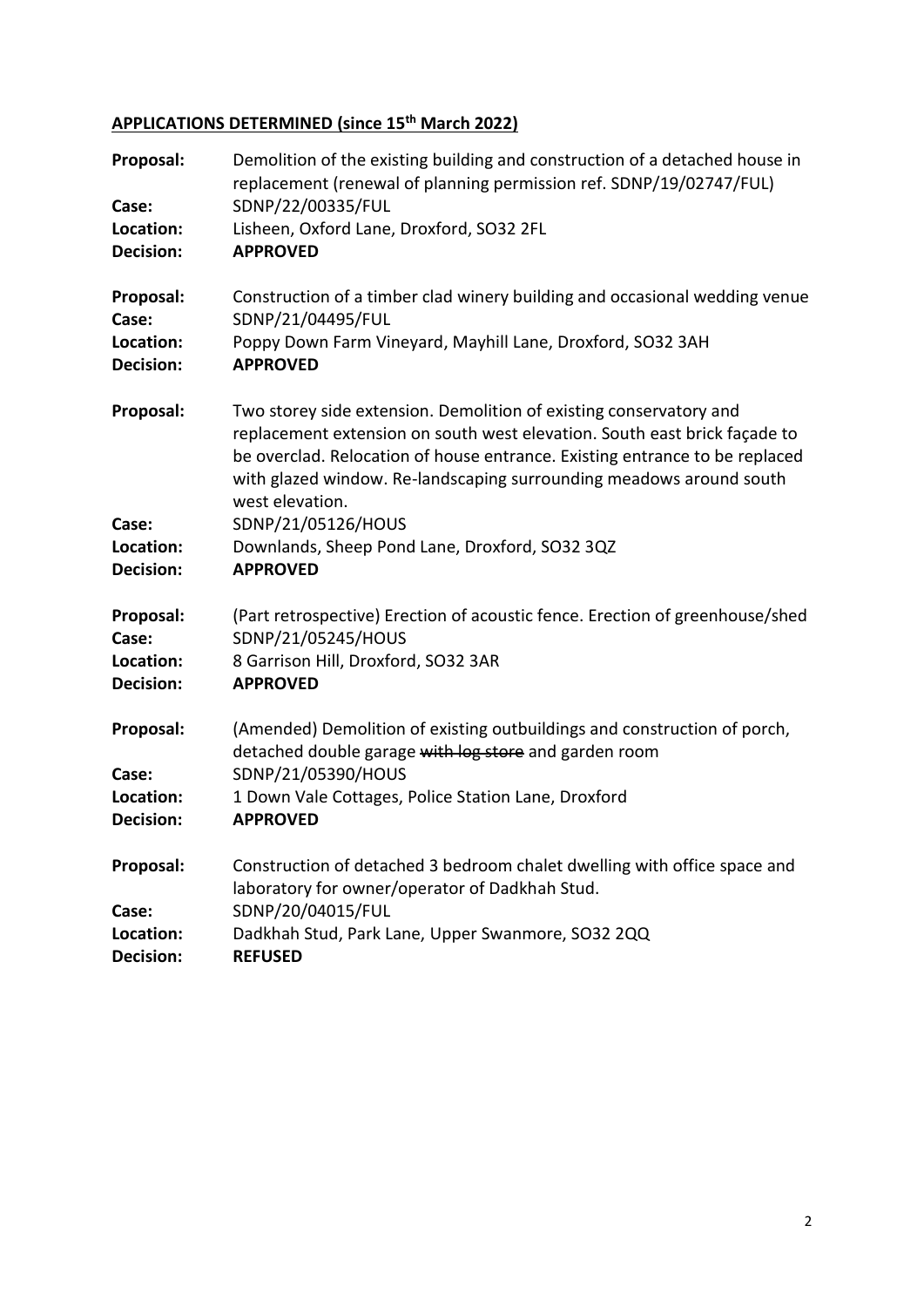# **APPLICATIONS DETERMINED (since 15th March 2022)**

| Proposal:<br>Case:<br>Location:<br><b>Decision:</b> | Demolition of the existing building and construction of a detached house in<br>replacement (renewal of planning permission ref. SDNP/19/02747/FUL)<br>SDNP/22/00335/FUL<br>Lisheen, Oxford Lane, Droxford, SO32 2FL<br><b>APPROVED</b>                                                                                                         |
|-----------------------------------------------------|------------------------------------------------------------------------------------------------------------------------------------------------------------------------------------------------------------------------------------------------------------------------------------------------------------------------------------------------|
| Proposal:<br>Case:<br>Location:<br><b>Decision:</b> | Construction of a timber clad winery building and occasional wedding venue<br>SDNP/21/04495/FUL<br>Poppy Down Farm Vineyard, Mayhill Lane, Droxford, SO32 3AH<br><b>APPROVED</b>                                                                                                                                                               |
| Proposal:<br>Case:                                  | Two storey side extension. Demolition of existing conservatory and<br>replacement extension on south west elevation. South east brick façade to<br>be overclad. Relocation of house entrance. Existing entrance to be replaced<br>with glazed window. Re-landscaping surrounding meadows around south<br>west elevation.<br>SDNP/21/05126/HOUS |
| Location:<br>Decision:                              | Downlands, Sheep Pond Lane, Droxford, SO32 3QZ<br><b>APPROVED</b>                                                                                                                                                                                                                                                                              |
| Proposal:<br>Case:<br>Location:<br>Decision:        | (Part retrospective) Erection of acoustic fence. Erection of greenhouse/shed<br>SDNP/21/05245/HOUS<br>8 Garrison Hill, Droxford, SO32 3AR<br><b>APPROVED</b>                                                                                                                                                                                   |
| Proposal:<br>Case:<br>Location:<br><b>Decision:</b> | (Amended) Demolition of existing outbuildings and construction of porch,<br>detached double garage with log store and garden room<br>SDNP/21/05390/HOUS<br>1 Down Vale Cottages, Police Station Lane, Droxford<br><b>APPROVED</b>                                                                                                              |
| Proposal:<br>Case:<br>Location:<br><b>Decision:</b> | Construction of detached 3 bedroom chalet dwelling with office space and<br>laboratory for owner/operator of Dadkhah Stud.<br>SDNP/20/04015/FUL<br>Dadkhah Stud, Park Lane, Upper Swanmore, SO32 2QQ<br><b>REFUSED</b>                                                                                                                         |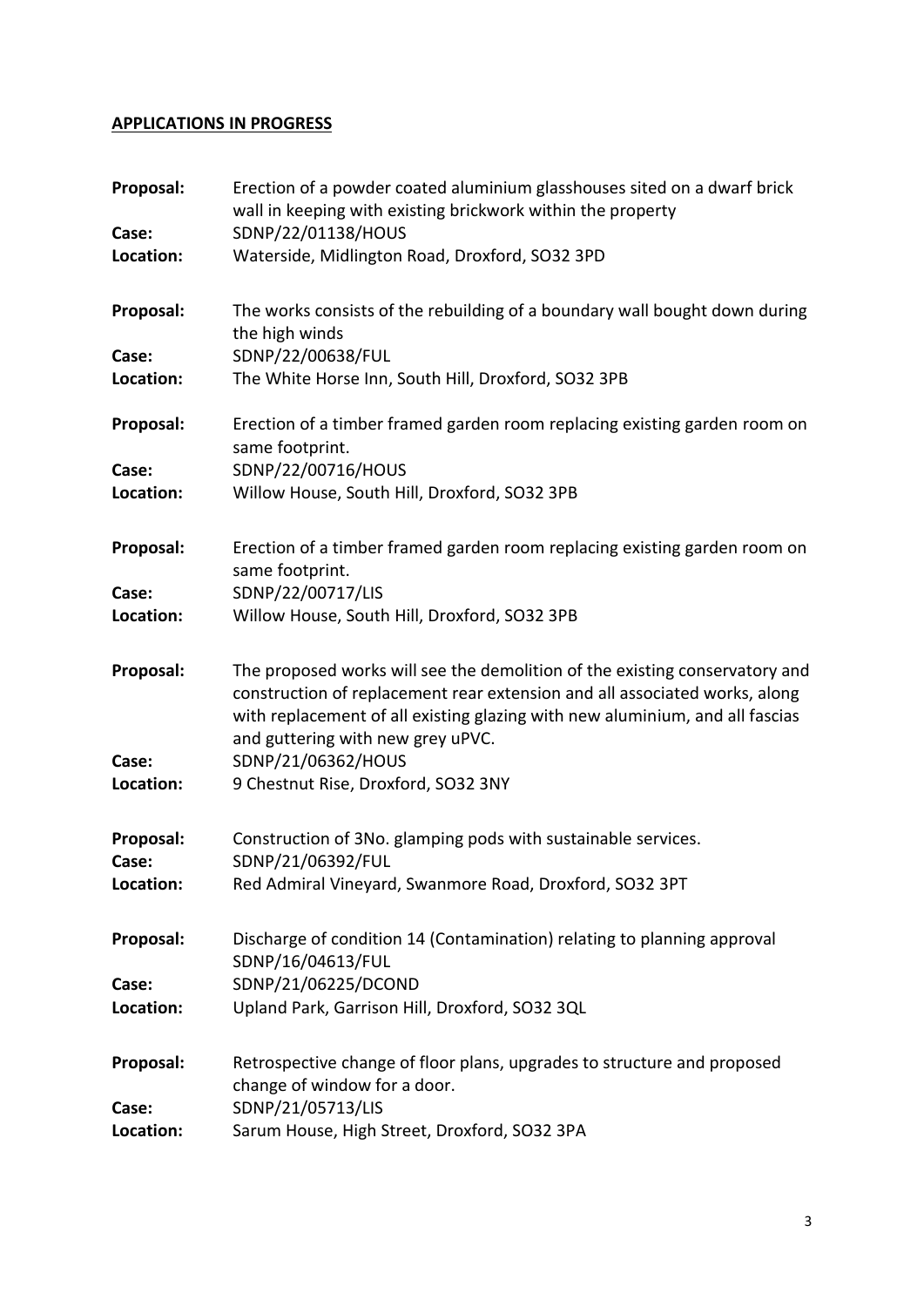#### **APPLICATIONS IN PROGRESS**

| Proposal:<br>Case: | Erection of a powder coated aluminium glasshouses sited on a dwarf brick<br>wall in keeping with existing brickwork within the property<br>SDNP/22/01138/HOUS                                                                                                                  |
|--------------------|--------------------------------------------------------------------------------------------------------------------------------------------------------------------------------------------------------------------------------------------------------------------------------|
| Location:          | Waterside, Midlington Road, Droxford, SO32 3PD                                                                                                                                                                                                                                 |
| Proposal:          | The works consists of the rebuilding of a boundary wall bought down during<br>the high winds                                                                                                                                                                                   |
| Case:<br>Location: | SDNP/22/00638/FUL<br>The White Horse Inn, South Hill, Droxford, SO32 3PB                                                                                                                                                                                                       |
| Proposal:          | Erection of a timber framed garden room replacing existing garden room on<br>same footprint.                                                                                                                                                                                   |
| Case:<br>Location: | SDNP/22/00716/HOUS<br>Willow House, South Hill, Droxford, SO32 3PB                                                                                                                                                                                                             |
| Proposal:          | Erection of a timber framed garden room replacing existing garden room on<br>same footprint.                                                                                                                                                                                   |
| Case:<br>Location: | SDNP/22/00717/LIS<br>Willow House, South Hill, Droxford, SO32 3PB                                                                                                                                                                                                              |
| Proposal:          | The proposed works will see the demolition of the existing conservatory and<br>construction of replacement rear extension and all associated works, along<br>with replacement of all existing glazing with new aluminium, and all fascias<br>and guttering with new grey uPVC. |
| Case:<br>Location: | SDNP/21/06362/HOUS<br>9 Chestnut Rise, Droxford, SO32 3NY                                                                                                                                                                                                                      |
| Proposal:<br>Case: | Construction of 3No. glamping pods with sustainable services.<br>SDNP/21/06392/FUL                                                                                                                                                                                             |
| Location:          | Red Admiral Vineyard, Swanmore Road, Droxford, SO32 3PT                                                                                                                                                                                                                        |
| Proposal:          | Discharge of condition 14 (Contamination) relating to planning approval<br>SDNP/16/04613/FUL                                                                                                                                                                                   |
| Case:              | SDNP/21/06225/DCOND                                                                                                                                                                                                                                                            |
| Location:          | Upland Park, Garrison Hill, Droxford, SO32 3QL                                                                                                                                                                                                                                 |
| Proposal:<br>Case: | Retrospective change of floor plans, upgrades to structure and proposed<br>change of window for a door.<br>SDNP/21/05713/LIS                                                                                                                                                   |
| Location:          | Sarum House, High Street, Droxford, SO32 3PA                                                                                                                                                                                                                                   |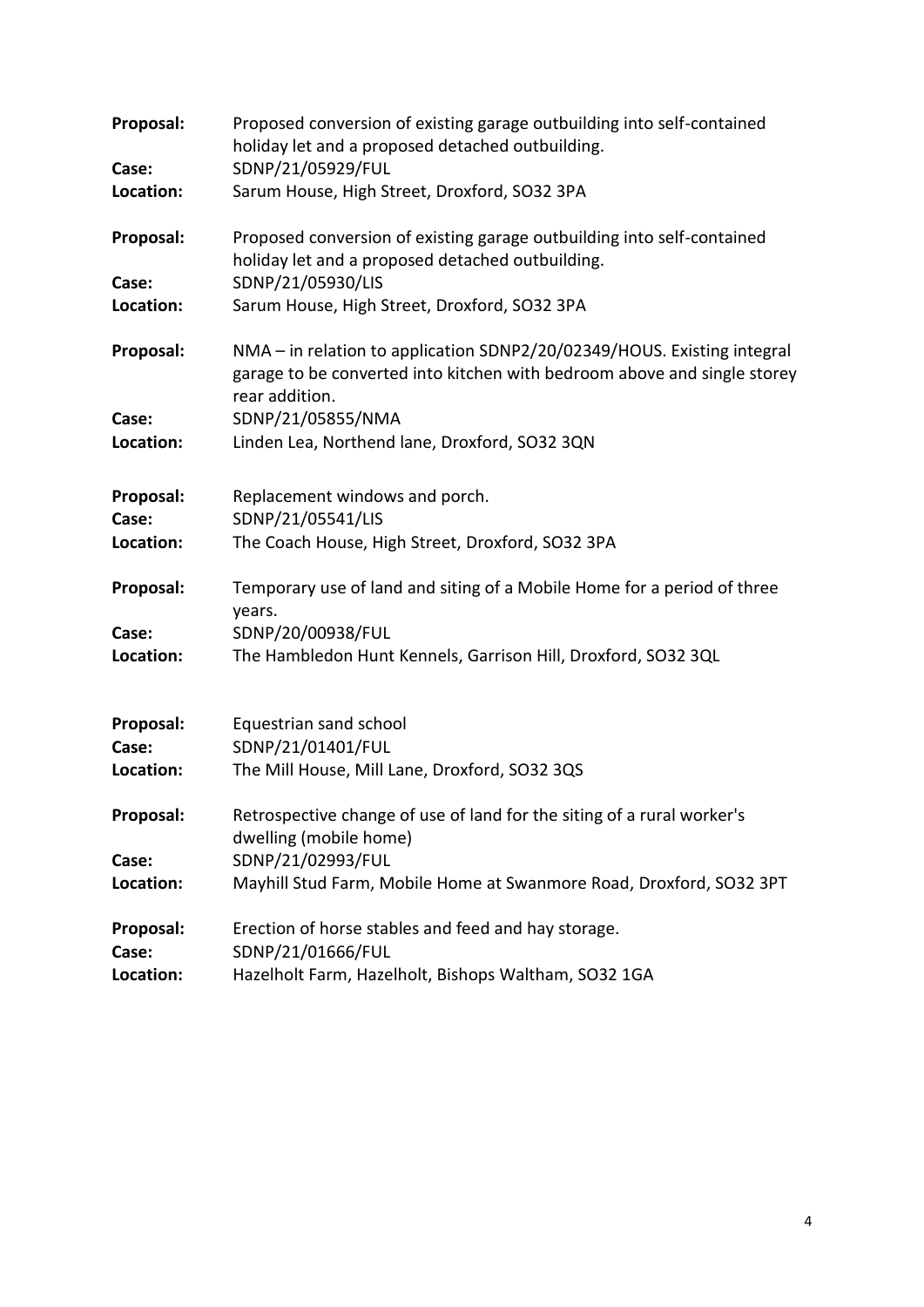| Proposal:<br>Case: | Proposed conversion of existing garage outbuilding into self-contained<br>holiday let and a proposed detached outbuilding.<br>SDNP/21/05929/FUL                       |
|--------------------|-----------------------------------------------------------------------------------------------------------------------------------------------------------------------|
|                    |                                                                                                                                                                       |
| Location:          | Sarum House, High Street, Droxford, SO32 3PA                                                                                                                          |
| Proposal:          | Proposed conversion of existing garage outbuilding into self-contained<br>holiday let and a proposed detached outbuilding.                                            |
| Case:              | SDNP/21/05930/LIS                                                                                                                                                     |
| Location:          | Sarum House, High Street, Droxford, SO32 3PA                                                                                                                          |
| Proposal:          | NMA - in relation to application SDNP2/20/02349/HOUS. Existing integral<br>garage to be converted into kitchen with bedroom above and single storey<br>rear addition. |
| Case:              | SDNP/21/05855/NMA                                                                                                                                                     |
| Location:          | Linden Lea, Northend lane, Droxford, SO32 3QN                                                                                                                         |
|                    |                                                                                                                                                                       |
| Proposal:          | Replacement windows and porch.                                                                                                                                        |
| Case:              | SDNP/21/05541/LIS                                                                                                                                                     |
| Location:          | The Coach House, High Street, Droxford, SO32 3PA                                                                                                                      |
| Proposal:          | Temporary use of land and siting of a Mobile Home for a period of three<br>years.                                                                                     |
| Case:              | SDNP/20/00938/FUL                                                                                                                                                     |
| Location:          | The Hambledon Hunt Kennels, Garrison Hill, Droxford, SO32 3QL                                                                                                         |
|                    |                                                                                                                                                                       |
| Proposal:          | Equestrian sand school                                                                                                                                                |
| Case:              | SDNP/21/01401/FUL                                                                                                                                                     |
| Location:          | The Mill House, Mill Lane, Droxford, SO32 3QS                                                                                                                         |
| Proposal:          | Retrospective change of use of land for the siting of a rural worker's<br>dwelling (mobile home)                                                                      |
| Case:              | SDNP/21/02993/FUL                                                                                                                                                     |
| Location:          | Mayhill Stud Farm, Mobile Home at Swanmore Road, Droxford, SO32 3PT                                                                                                   |
| Proposal:          | Erection of horse stables and feed and hay storage.                                                                                                                   |
| Case:              | SDNP/21/01666/FUL                                                                                                                                                     |
| Location:          | Hazelholt Farm, Hazelholt, Bishops Waltham, SO32 1GA                                                                                                                  |
|                    |                                                                                                                                                                       |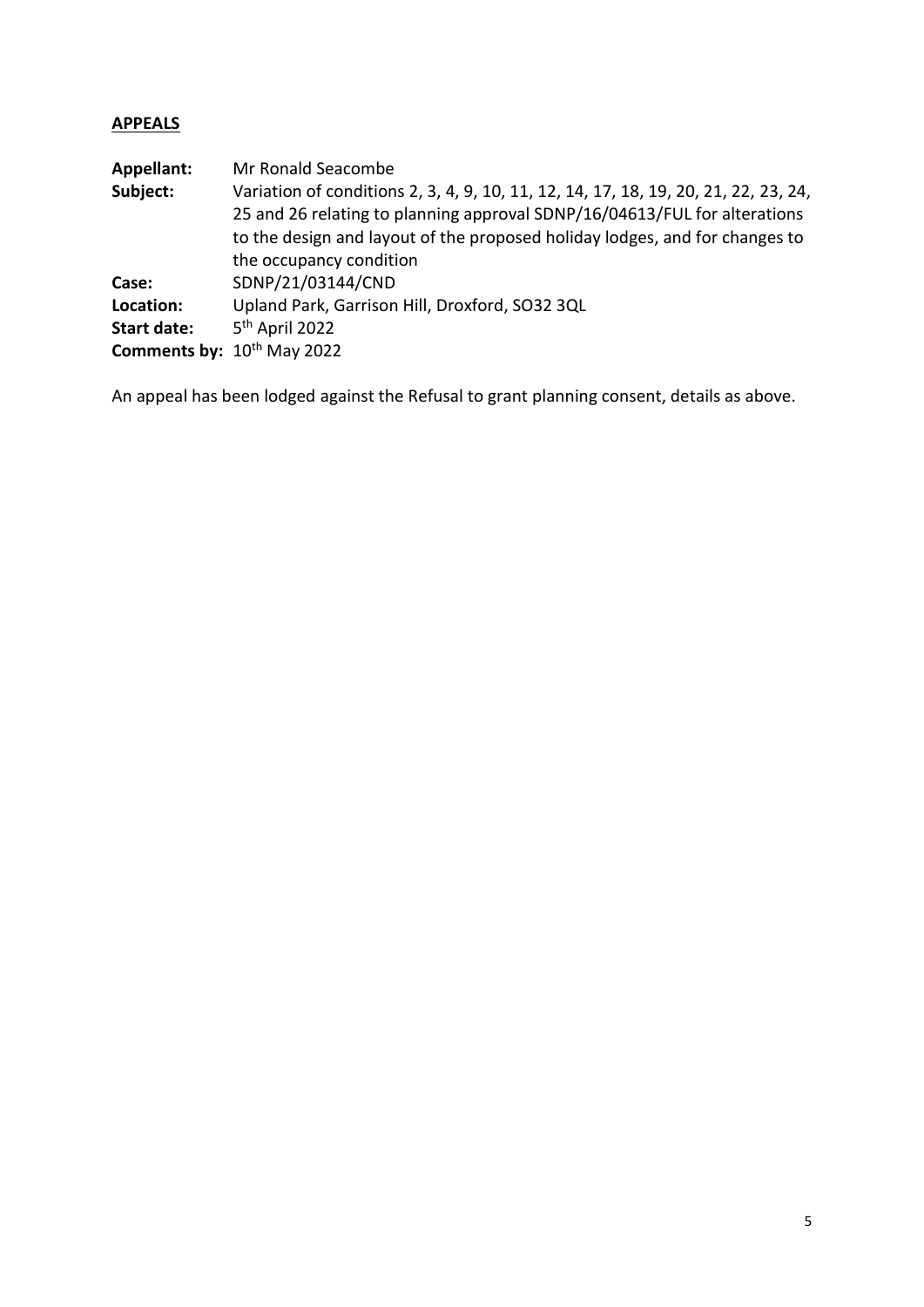### **APPEALS**

| Mr Ronald Seacombe                                                                  |
|-------------------------------------------------------------------------------------|
| Variation of conditions 2, 3, 4, 9, 10, 11, 12, 14, 17, 18, 19, 20, 21, 22, 23, 24, |
| 25 and 26 relating to planning approval SDNP/16/04613/FUL for alterations           |
| to the design and layout of the proposed holiday lodges, and for changes to         |
| the occupancy condition                                                             |
| SDNP/21/03144/CND                                                                   |
| Upland Park, Garrison Hill, Droxford, SO32 3QL                                      |
| 5 <sup>th</sup> April 2022                                                          |
| Comments by: 10th May 2022                                                          |
|                                                                                     |

An appeal has been lodged against the Refusal to grant planning consent, details as above.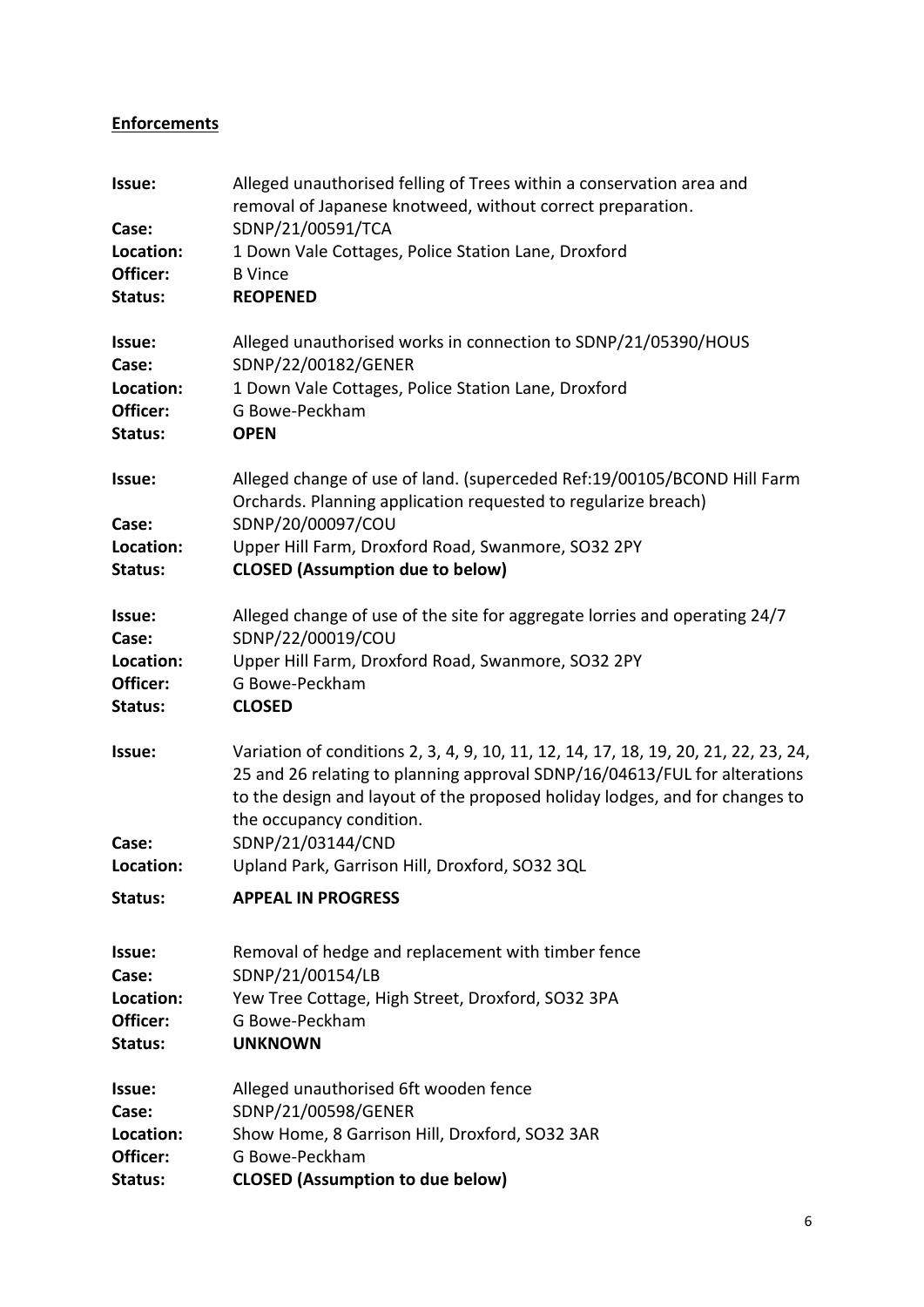## **Enforcements**

| Issue:<br>Case:      | Alleged unauthorised felling of Trees within a conservation area and<br>removal of Japanese knotweed, without correct preparation.<br>SDNP/21/00591/TCA                                                                                                                     |
|----------------------|-----------------------------------------------------------------------------------------------------------------------------------------------------------------------------------------------------------------------------------------------------------------------------|
| Location:            | 1 Down Vale Cottages, Police Station Lane, Droxford                                                                                                                                                                                                                         |
| Officer:             | <b>B</b> Vince                                                                                                                                                                                                                                                              |
| Status:              | <b>REOPENED</b>                                                                                                                                                                                                                                                             |
| Issue:               | Alleged unauthorised works in connection to SDNP/21/05390/HOUS                                                                                                                                                                                                              |
| Case:<br>Location:   | SDNP/22/00182/GENER<br>1 Down Vale Cottages, Police Station Lane, Droxford                                                                                                                                                                                                  |
| Officer:             | G Bowe-Peckham                                                                                                                                                                                                                                                              |
| Status:              | <b>OPEN</b>                                                                                                                                                                                                                                                                 |
| Issue:<br>Case:      | Alleged change of use of land. (superceded Ref:19/00105/BCOND Hill Farm<br>Orchards. Planning application requested to regularize breach)<br>SDNP/20/00097/COU                                                                                                              |
| Location:<br>Status: | Upper Hill Farm, Droxford Road, Swanmore, SO32 2PY<br><b>CLOSED (Assumption due to below)</b>                                                                                                                                                                               |
| Issue:<br>Case:      | Alleged change of use of the site for aggregate lorries and operating 24/7<br>SDNP/22/00019/COU                                                                                                                                                                             |
| Location:            | Upper Hill Farm, Droxford Road, Swanmore, SO32 2PY                                                                                                                                                                                                                          |
| Officer:             | G Bowe-Peckham                                                                                                                                                                                                                                                              |
| Status:              | <b>CLOSED</b>                                                                                                                                                                                                                                                               |
| Issue:               | Variation of conditions 2, 3, 4, 9, 10, 11, 12, 14, 17, 18, 19, 20, 21, 22, 23, 24,<br>25 and 26 relating to planning approval SDNP/16/04613/FUL for alterations<br>to the design and layout of the proposed holiday lodges, and for changes to<br>the occupancy condition. |
| Case:                | SDNP/21/03144/CND                                                                                                                                                                                                                                                           |
| Location:            | Upland Park, Garrison Hill, Droxford, SO32 3QL                                                                                                                                                                                                                              |
| Status:              | <b>APPEAL IN PROGRESS</b>                                                                                                                                                                                                                                                   |
| Issue:<br>Case:      | Removal of hedge and replacement with timber fence<br>SDNP/21/00154/LB                                                                                                                                                                                                      |
| Location:            | Yew Tree Cottage, High Street, Droxford, SO32 3PA                                                                                                                                                                                                                           |
| Officer:             | G Bowe-Peckham                                                                                                                                                                                                                                                              |
| Status:              | <b>UNKNOWN</b>                                                                                                                                                                                                                                                              |
| Issue:               | Alleged unauthorised 6ft wooden fence                                                                                                                                                                                                                                       |
| Case:                | SDNP/21/00598/GENER                                                                                                                                                                                                                                                         |
| Location:            | Show Home, 8 Garrison Hill, Droxford, SO32 3AR                                                                                                                                                                                                                              |
| Officer:             | G Bowe-Peckham                                                                                                                                                                                                                                                              |
| Status:              | <b>CLOSED (Assumption to due below)</b>                                                                                                                                                                                                                                     |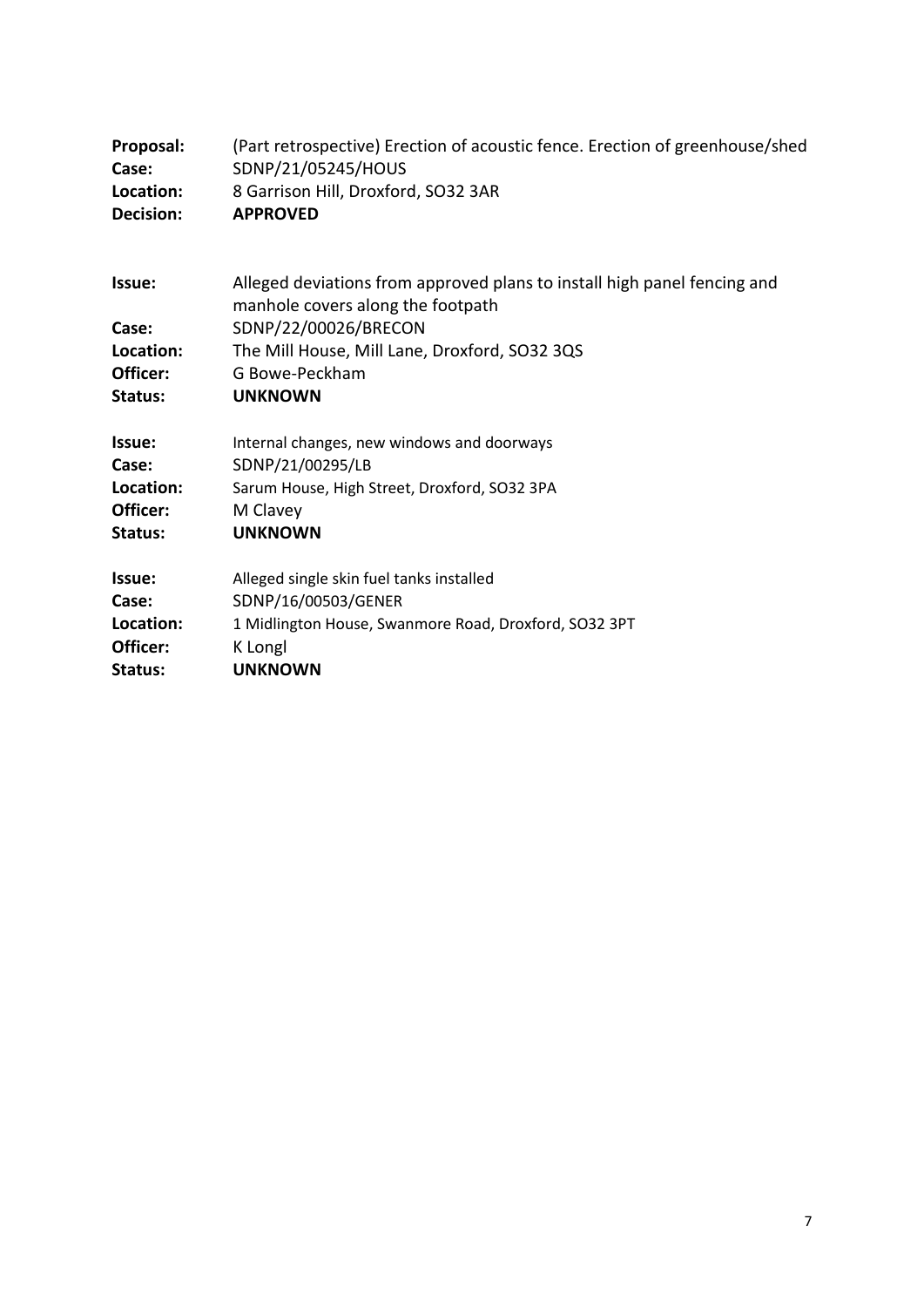| Proposal:                                           | (Part retrospective) Erection of acoustic fence. Erection of greenhouse/shed                                                                                                                                               |
|-----------------------------------------------------|----------------------------------------------------------------------------------------------------------------------------------------------------------------------------------------------------------------------------|
| Case:                                               | SDNP/21/05245/HOUS                                                                                                                                                                                                         |
| Location:                                           | 8 Garrison Hill, Droxford, SO32 3AR                                                                                                                                                                                        |
| Decision:                                           | <b>APPROVED</b>                                                                                                                                                                                                            |
| Issue:<br>Case:<br>Location:<br>Officer:<br>Status: | Alleged deviations from approved plans to install high panel fencing and<br>manhole covers along the footpath<br>SDNP/22/00026/BRECON<br>The Mill House, Mill Lane, Droxford, SO32 3QS<br>G Bowe-Peckham<br><b>UNKNOWN</b> |
| Issue:                                              | Internal changes, new windows and doorways                                                                                                                                                                                 |
| Case:                                               | SDNP/21/00295/LB                                                                                                                                                                                                           |
| Location:                                           | Sarum House, High Street, Droxford, SO32 3PA                                                                                                                                                                               |
| Officer:                                            | M Clavey                                                                                                                                                                                                                   |
| Status:                                             | <b>UNKNOWN</b>                                                                                                                                                                                                             |
| Issue:                                              | Alleged single skin fuel tanks installed                                                                                                                                                                                   |
| Case:                                               | SDNP/16/00503/GENER                                                                                                                                                                                                        |
| Location:                                           | 1 Midlington House, Swanmore Road, Droxford, SO32 3PT                                                                                                                                                                      |
| Officer:                                            | K Longl                                                                                                                                                                                                                    |
| Status:                                             | <b>UNKNOWN</b>                                                                                                                                                                                                             |